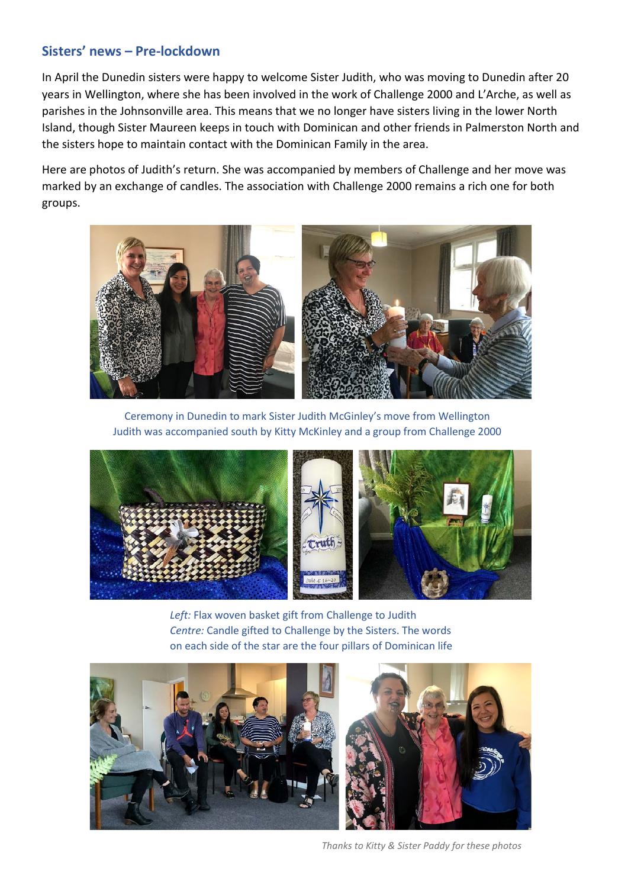## **Sisters' news – Pre-lockdown**

In April the Dunedin sisters were happy to welcome Sister Judith, who was moving to Dunedin after 20 years in Wellington, where she has been involved in the work of Challenge 2000 and L'Arche, as well as parishes in the Johnsonville area. This means that we no longer have sisters living in the lower North Island, though Sister Maureen keeps in touch with Dominican and other friends in Palmerston North and the sisters hope to maintain contact with the Dominican Family in the area.

Here are photos of Judith's return. She was accompanied by members of Challenge and her move was marked by an exchange of candles. The association with Challenge 2000 remains a rich one for both groups.



Ceremony in Dunedin to mark Sister Judith McGinley's move from Wellington Judith was accompanied south by Kitty McKinley and a group from Challenge 2000



*Left:* Flax woven basket gift from Challenge to Judith *Centre:* Candle gifted to Challenge by the Sisters. The words on each side of the star are the four pillars of Dominican life



*Thanks to Kitty & Sister Paddy for these photos*